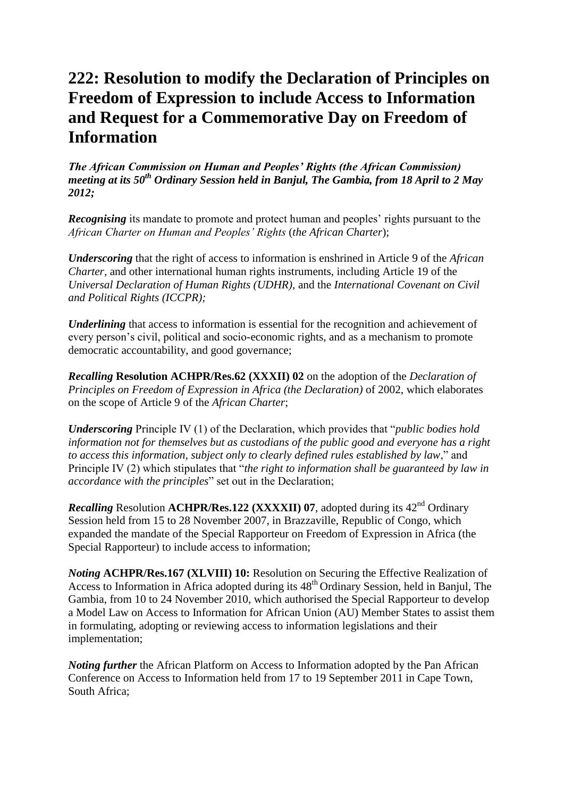## **222: Resolution to modify the Declaration of Principles on Freedom of Expression to include Access to Information and Request for a Commemorative Day on Freedom of Information**

*The African Commission on Human and Peoples' Rights (the African Commission) meeting at its 50th Ordinary Session held in Banjul, The Gambia, from 18 April to 2 May 2012;*

*Recognising* its mandate to promote and protect human and peoples' rights pursuant to the *African Charter on Human and Peoples' Rights* (*the African Charter*);

*Underscoring* that the right of access to information is enshrined in Article 9 of the *African Charter,* and other international human rights instruments, including Article 19 of the *Universal Declaration of Human Rights (UDHR),* and the *International Covenant on Civil and Political Rights (ICCPR);*

*Underlining* that access to information is essential for the recognition and achievement of every person"s civil, political and socio-economic rights, and as a mechanism to promote democratic accountability, and good governance;

*Recalling* **Resolution ACHPR/Res.62 (XXXII) 02** on the adoption of the *Declaration of Principles on Freedom of Expression in Africa (the Declaration)* of 2002, which elaborates on the scope of Article 9 of the *African Charter*;

*Underscoring* Principle IV (1) of the Declaration, which provides that "*public bodies hold information not for themselves but as custodians of the public good and everyone has a right to access this information, subject only to clearly defined rules established by law*," and Principle IV (2) which stipulates that "*the right to information shall be guaranteed by law in accordance with the principles*" set out in the Declaration;

*Recalling* Resolution **ACHPR/Res.122 (XXXXII) 07**, adopted during its 42<sup>nd</sup> Ordinary Session held from 15 to 28 November 2007, in Brazzaville, Republic of Congo, which expanded the mandate of the Special Rapporteur on Freedom of Expression in Africa (the Special Rapporteur) to include access to information;

*Noting* **ACHPR/Res.167 (XLVIII) 10:** Resolution on Securing the Effective Realization of Access to Information in Africa adopted during its  $48<sup>th</sup>$  Ordinary Session, held in Banjul, The Gambia, from 10 to 24 November 2010, which authorised the Special Rapporteur to develop a Model Law on Access to Information for African Union (AU) Member States to assist them in formulating, adopting or reviewing access to information legislations and their implementation;

*Noting further* the African Platform on Access to Information adopted by the Pan African Conference on Access to Information held from 17 to 19 September 2011 in Cape Town, South Africa;